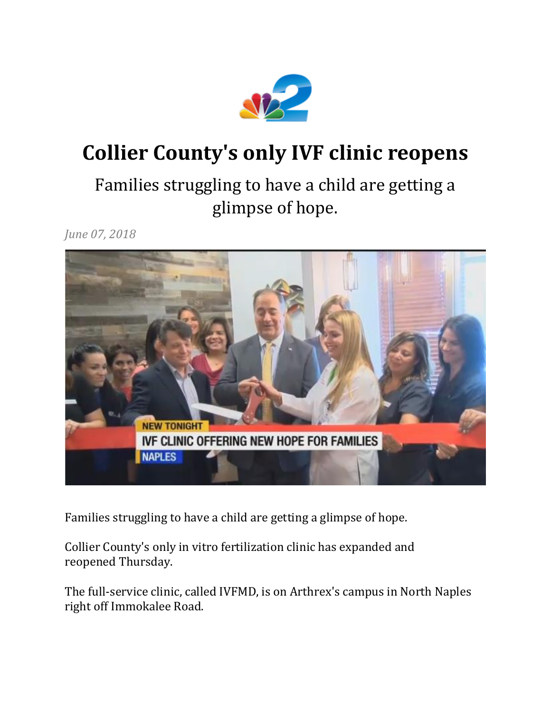

## **Collier County's only IVF clinic reopens**

## Families struggling to have a child are getting a glimpse of hope.

*June 07, 2018*



Families struggling to have a child are getting a glimpse of hope.

Collier County's only in vitro fertilization clinic has expanded and reopened Thursday.

The full-service clinic, called IVFMD, is on Arthrex's campus in North Naples right off Immokalee Road.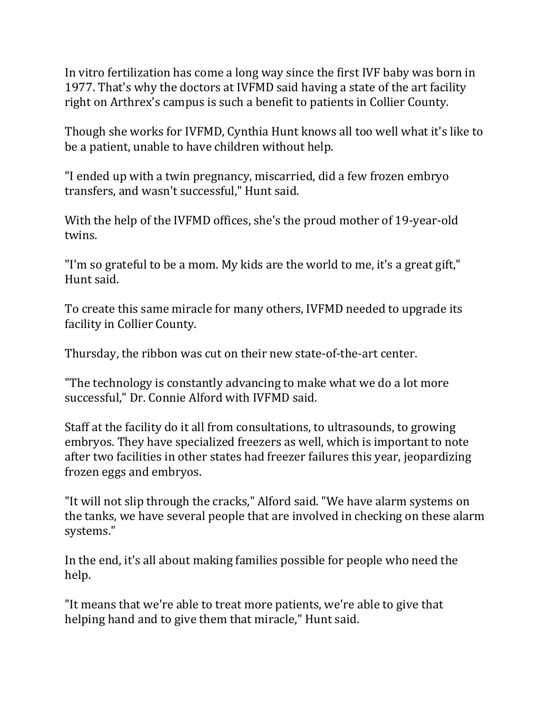In vitro fertilization has come a long way since the first IVF baby was born in 1977. That's why the doctors at IVFMD said having a state of the art facility right on Arthrex's campus is such a benefit to patients in Collier County.

Though she works for IVFMD, Cynthia Hunt knows all too well what it's like to be a patient, unable to have children without help.

"I ended up with a twin pregnancy, miscarried, did a few frozen embryo transfers, and wasn't successful," Hunt said.

With the help of the IVFMD offices, she's the proud mother of 19-year-old twins.

"I'm so grateful to be a mom. My kids are the world to me, it's a great gift," Hunt said.

To create this same miracle for many others, IVFMD needed to upgrade its facility in Collier County.

Thursday, the ribbon was cut on their new state-of-the-art center.

"The technology is constantly advancing to make what we do a lot more successful," Dr. Connie Alford with IVFMD said.

Staff at the facility do it all from consultations, to ultrasounds, to growing embryos. They have specialized freezers as well, which is important to note after two facilities in other states had freezer failures this year, jeopardizing frozen eggs and embryos.

"It will not slip through the cracks," Alford said. "We have alarm systems on the tanks, we have several people that are involved in checking on these alarm systems."

In the end, it's all about making families possible for people who need the help.

"It means that we're able to treat more patients, we're able to give that helping hand and to give them that miracle," Hunt said.